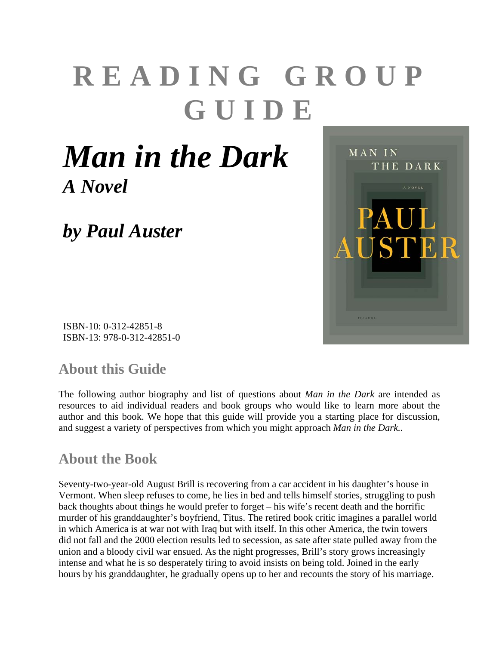# **READING GROUP GUIDE**

MAN IN

THE DARK

STER

## *Man in the Dark A Novel*

*by Paul Auster* 



#### **About this Guide**

The following author biography and list of questions about *Man in the Dark* are intended as resources to aid individual readers and book groups who would like to learn more about the author and this book. We hope that this guide will provide you a starting place for discussion, and suggest a variety of perspectives from which you might approach *Man in the Dark..*

#### **About the Book**

Seventy-two-year-old August Brill is recovering from a car accident in his daughter's house in Vermont. When sleep refuses to come, he lies in bed and tells himself stories, struggling to push back thoughts about things he would prefer to forget – his wife's recent death and the horrific murder of his granddaughter's boyfriend, Titus. The retired book critic imagines a parallel world in which America is at war not with Iraq but with itself. In this other America, the twin towers did not fall and the 2000 election results led to secession, as sate after state pulled away from the union and a bloody civil war ensued. As the night progresses, Brill's story grows increasingly intense and what he is so desperately tiring to avoid insists on being told. Joined in the early hours by his granddaughter, he gradually opens up to her and recounts the story of his marriage.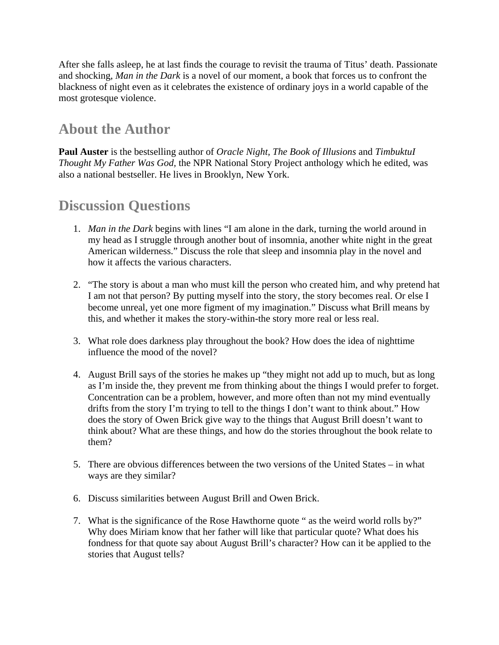After she falls asleep, he at last finds the courage to revisit the trauma of Titus' death. Passionate and shocking, *Man in the Dark* is a novel of our moment, a book that forces us to confront the blackness of night even as it celebrates the existence of ordinary joys in a world capable of the most grotesque violence.

#### **About the Author**

**Paul Auster** is the bestselling author of *Oracle Night, The Book of Illusions* and *TimbuktuI Thought My Father Was God,* the NPR National Story Project anthology which he edited, was also a national bestseller. He lives in Brooklyn, New York.

#### **Discussion Questions**

- 1. *Man in the Dark* begins with lines "I am alone in the dark, turning the world around in my head as I struggle through another bout of insomnia, another white night in the great American wilderness." Discuss the role that sleep and insomnia play in the novel and how it affects the various characters.
- 2. "The story is about a man who must kill the person who created him, and why pretend hat I am not that person? By putting myself into the story, the story becomes real. Or else I become unreal, yet one more figment of my imagination." Discuss what Brill means by this, and whether it makes the story-within-the story more real or less real.
- 3. What role does darkness play throughout the book? How does the idea of nighttime influence the mood of the novel?
- 4. August Brill says of the stories he makes up "they might not add up to much, but as long as I'm inside the, they prevent me from thinking about the things I would prefer to forget. Concentration can be a problem, however, and more often than not my mind eventually drifts from the story I'm trying to tell to the things I don't want to think about." How does the story of Owen Brick give way to the things that August Brill doesn't want to think about? What are these things, and how do the stories throughout the book relate to them?
- 5. There are obvious differences between the two versions of the United States in what ways are they similar?
- 6. Discuss similarities between August Brill and Owen Brick.
- 7. What is the significance of the Rose Hawthorne quote " as the weird world rolls by?" Why does Miriam know that her father will like that particular quote? What does his fondness for that quote say about August Brill's character? How can it be applied to the stories that August tells?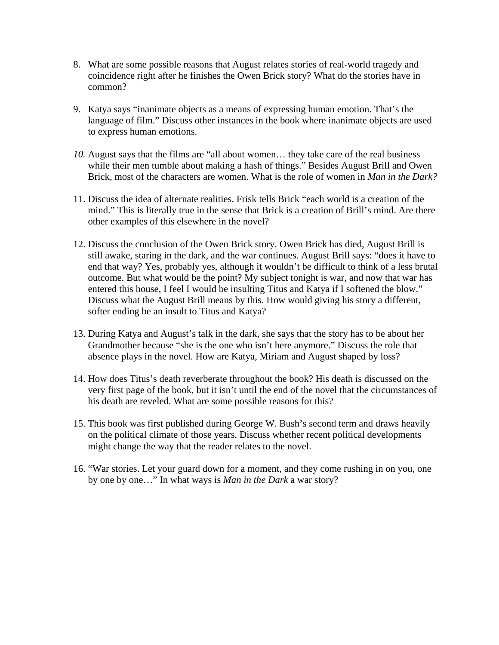- 8. What are some possible reasons that August relates stories of real-world tragedy and coincidence right after he finishes the Owen Brick story? What do the stories have in common?
- 9. Katya says "inanimate objects as a means of expressing human emotion. That's the language of film." Discuss other instances in the book where inanimate objects are used to express human emotions.
- *10.* August says that the films are "all about women… they take care of the real business while their men tumble about making a hash of things." Besides August Brill and Owen Brick, most of the characters are women. What is the role of women in *Man in the Dark?*
- 11. Discuss the idea of alternate realities. Frisk tells Brick "each world is a creation of the mind." This is literally true in the sense that Brick is a creation of Brill's mind. Are there other examples of this elsewhere in the novel?
- 12. Discuss the conclusion of the Owen Brick story. Owen Brick has died, August Brill is still awake, staring in the dark, and the war continues. August Brill says: "does it have to end that way? Yes, probably yes, although it wouldn't be difficult to think of a less brutal outcome. But what would be the point? My subject tonight is war, and now that war has entered this house, I feel I would be insulting Titus and Katya if I softened the blow." Discuss what the August Brill means by this. How would giving his story a different, softer ending be an insult to Titus and Katya?
- 13. During Katya and August's talk in the dark, she says that the story has to be about her Grandmother because "she is the one who isn't here anymore." Discuss the role that absence plays in the novel. How are Katya, Miriam and August shaped by loss?
- 14. How does Titus's death reverberate throughout the book? His death is discussed on the very first page of the book, but it isn't until the end of the novel that the circumstances of his death are reveled. What are some possible reasons for this?
- 15. This book was first published during George W. Bush's second term and draws heavily on the political climate of those years. Discuss whether recent political developments might change the way that the reader relates to the novel.
- 16. "War stories. Let your guard down for a moment, and they come rushing in on you, one by one by one…" In what ways is *Man in the Dark* a war story?